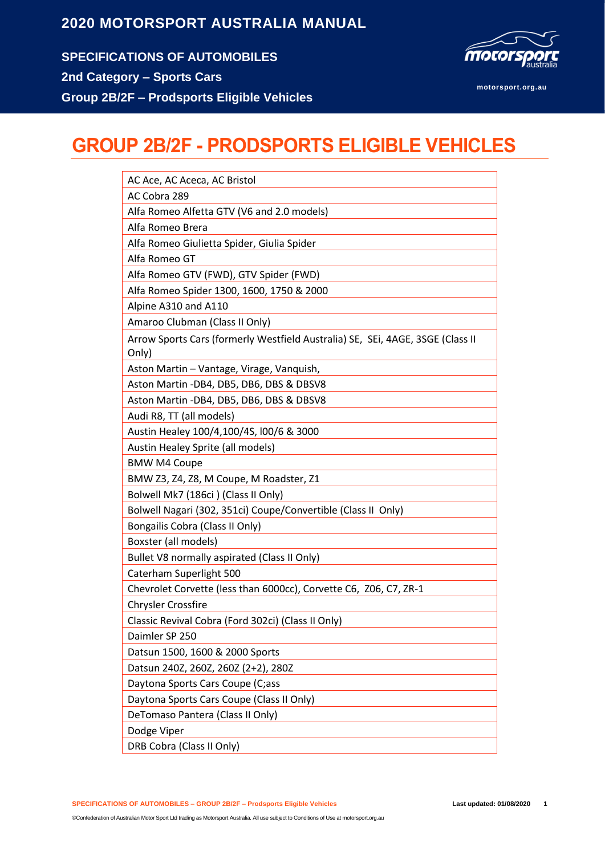**SPECIFICATIONS OF AUTOMOBILES 2nd Category – Sports Cars Group 2B/2F – Prodsports Eligible Vehicles**



**motorsport.org.au**

## **GROUP 2B/2F - PRODSPORTS ELIGIBLE VEHICLES**

| AC Ace, AC Aceca, AC Bristol                                                            |
|-----------------------------------------------------------------------------------------|
| AC Cobra 289                                                                            |
| Alfa Romeo Alfetta GTV (V6 and 2.0 models)                                              |
| Alfa Romeo Brera                                                                        |
| Alfa Romeo Giulietta Spider, Giulia Spider                                              |
| Alfa Romeo GT                                                                           |
| Alfa Romeo GTV (FWD), GTV Spider (FWD)                                                  |
| Alfa Romeo Spider 1300, 1600, 1750 & 2000                                               |
| Alpine A310 and A110                                                                    |
| Amaroo Clubman (Class II Only)                                                          |
| Arrow Sports Cars (formerly Westfield Australia) SE, SEi, 4AGE, 3SGE (Class II<br>Only) |
| Aston Martin - Vantage, Virage, Vanquish,                                               |
| Aston Martin -DB4, DB5, DB6, DBS & DBSV8                                                |
| Aston Martin -DB4, DB5, DB6, DBS & DBSV8                                                |
| Audi R8, TT (all models)                                                                |
| Austin Healey 100/4,100/4S, l00/6 & 3000                                                |
| Austin Healey Sprite (all models)                                                       |
| <b>BMW M4 Coupe</b>                                                                     |
| BMW Z3, Z4, Z8, M Coupe, M Roadster, Z1                                                 |
| Bolwell Mk7 (186ci) (Class II Only)                                                     |
| Bolwell Nagari (302, 351ci) Coupe/Convertible (Class II Only)                           |
| Bongailis Cobra (Class II Only)                                                         |
| Boxster (all models)                                                                    |
| Bullet V8 normally aspirated (Class II Only)                                            |
| Caterham Superlight 500                                                                 |
| Chevrolet Corvette (less than 6000cc), Corvette C6, Z06, C7, ZR-1                       |
| <b>Chrysler Crossfire</b>                                                               |
| Classic Revival Cobra (Ford 302ci) (Class II Only)                                      |
| Daimler SP 250                                                                          |
| Datsun 1500, 1600 & 2000 Sports                                                         |
| Datsun 240Z, 260Z, 260Z (2+2), 280Z                                                     |
| Daytona Sports Cars Coupe (C;ass                                                        |
| Daytona Sports Cars Coupe (Class II Only)                                               |
| DeTomaso Pantera (Class II Only)                                                        |
| Dodge Viper                                                                             |
| DRB Cobra (Class II Only)                                                               |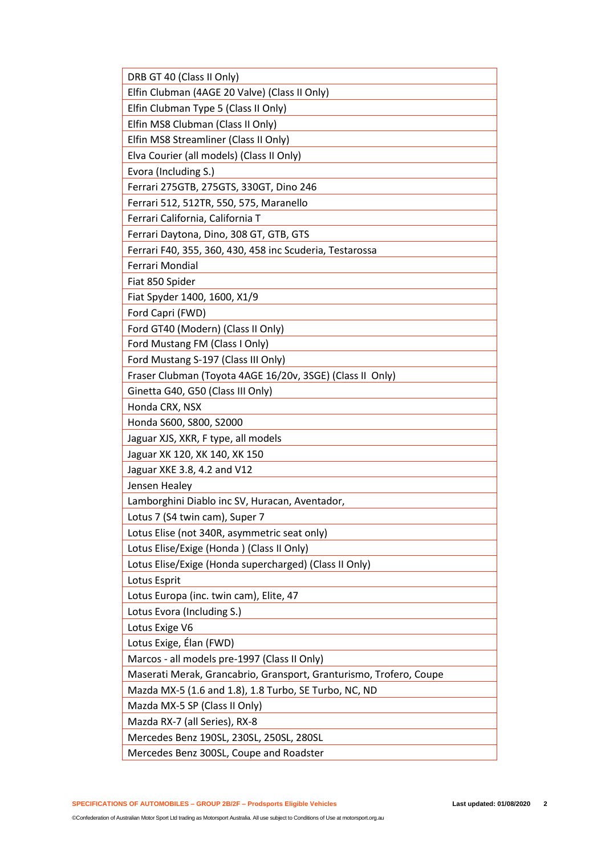| DRB GT 40 (Class II Only)                                          |
|--------------------------------------------------------------------|
| Elfin Clubman (4AGE 20 Valve) (Class II Only)                      |
| Elfin Clubman Type 5 (Class II Only)                               |
| Elfin MS8 Clubman (Class II Only)                                  |
| Elfin MS8 Streamliner (Class II Only)                              |
| Elva Courier (all models) (Class II Only)                          |
| Evora (Including S.)                                               |
| Ferrari 275GTB, 275GTS, 330GT, Dino 246                            |
| Ferrari 512, 512TR, 550, 575, Maranello                            |
| Ferrari California, California T                                   |
| Ferrari Daytona, Dino, 308 GT, GTB, GTS                            |
| Ferrari F40, 355, 360, 430, 458 inc Scuderia, Testarossa           |
| Ferrari Mondial                                                    |
| Fiat 850 Spider                                                    |
| Fiat Spyder 1400, 1600, X1/9                                       |
| Ford Capri (FWD)                                                   |
| Ford GT40 (Modern) (Class II Only)                                 |
| Ford Mustang FM (Class I Only)                                     |
| Ford Mustang S-197 (Class III Only)                                |
| Fraser Clubman (Toyota 4AGE 16/20v, 3SGE) (Class II Only)          |
| Ginetta G40, G50 (Class III Only)                                  |
| Honda CRX, NSX                                                     |
| Honda S600, S800, S2000                                            |
| Jaguar XJS, XKR, F type, all models                                |
| Jaguar XK 120, XK 140, XK 150                                      |
| Jaguar XKE 3.8, 4.2 and V12                                        |
| Jensen Healey                                                      |
| Lamborghini Diablo inc SV, Huracan, Aventador,                     |
| Lotus 7 (S4 twin cam), Super 7                                     |
| Lotus Elise (not 340R, asymmetric seat only)                       |
| Lotus Elise/Exige (Honda) (Class II Only)                          |
| Lotus Elise/Exige (Honda supercharged) (Class II Only)             |
| Lotus Esprit                                                       |
| Lotus Europa (inc. twin cam), Elite, 47                            |
| Lotus Evora (Including S.)                                         |
| Lotus Exige V6                                                     |
| Lotus Exige, Élan (FWD)                                            |
| Marcos - all models pre-1997 (Class II Only)                       |
| Maserati Merak, Grancabrio, Gransport, Granturismo, Trofero, Coupe |
| Mazda MX-5 (1.6 and 1.8), 1.8 Turbo, SE Turbo, NC, ND              |
| Mazda MX-5 SP (Class II Only)                                      |
| Mazda RX-7 (all Series), RX-8                                      |
| Mercedes Benz 190SL, 230SL, 250SL, 280SL                           |
| Mercedes Benz 300SL, Coupe and Roadster                            |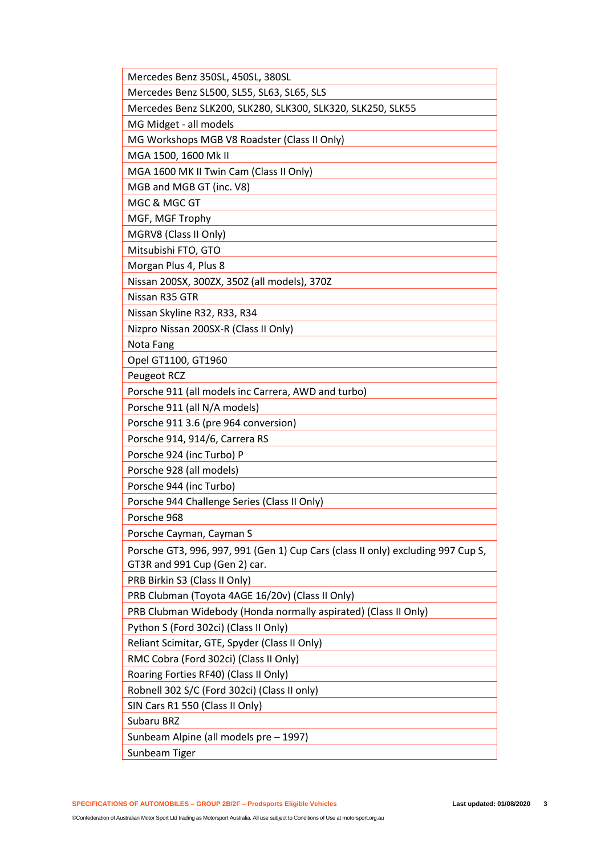| Mercedes Benz 350SL, 450SL, 380SL                                                                                 |
|-------------------------------------------------------------------------------------------------------------------|
| Mercedes Benz SL500, SL55, SL63, SL65, SLS                                                                        |
| Mercedes Benz SLK200, SLK280, SLK300, SLK320, SLK250, SLK55                                                       |
| MG Midget - all models                                                                                            |
| MG Workshops MGB V8 Roadster (Class II Only)                                                                      |
| MGA 1500, 1600 Mk II                                                                                              |
| MGA 1600 MK II Twin Cam (Class II Only)                                                                           |
| MGB and MGB GT (inc. V8)                                                                                          |
| MGC & MGC GT                                                                                                      |
| MGF, MGF Trophy                                                                                                   |
| MGRV8 (Class II Only)                                                                                             |
| Mitsubishi FTO, GTO                                                                                               |
| Morgan Plus 4, Plus 8                                                                                             |
| Nissan 200SX, 300ZX, 350Z (all models), 370Z                                                                      |
| Nissan R35 GTR                                                                                                    |
| Nissan Skyline R32, R33, R34                                                                                      |
| Nizpro Nissan 200SX-R (Class II Only)                                                                             |
| Nota Fang                                                                                                         |
| Opel GT1100, GT1960                                                                                               |
| Peugeot RCZ                                                                                                       |
| Porsche 911 (all models inc Carrera, AWD and turbo)                                                               |
| Porsche 911 (all N/A models)                                                                                      |
| Porsche 911 3.6 (pre 964 conversion)                                                                              |
| Porsche 914, 914/6, Carrera RS                                                                                    |
| Porsche 924 (inc Turbo) P                                                                                         |
| Porsche 928 (all models)                                                                                          |
| Porsche 944 (inc Turbo)                                                                                           |
| Porsche 944 Challenge Series (Class II Only)                                                                      |
| Porsche 968                                                                                                       |
| Porsche Cayman, Cayman S                                                                                          |
| Porsche GT3, 996, 997, 991 (Gen 1) Cup Cars (class II only) excluding 997 Cup S,<br>GT3R and 991 Cup (Gen 2) car. |
| PRB Birkin S3 (Class II Only)                                                                                     |
| PRB Clubman (Toyota 4AGE 16/20v) (Class II Only)                                                                  |
| PRB Clubman Widebody (Honda normally aspirated) (Class II Only)                                                   |
| Python S (Ford 302ci) (Class II Only)                                                                             |
| Reliant Scimitar, GTE, Spyder (Class II Only)                                                                     |
| RMC Cobra (Ford 302ci) (Class II Only)                                                                            |
| Roaring Forties RF40) (Class II Only)                                                                             |
| Robnell 302 S/C (Ford 302ci) (Class II only)                                                                      |
| SIN Cars R1 550 (Class II Only)                                                                                   |
| Subaru BRZ                                                                                                        |
| Sunbeam Alpine (all models pre - 1997)                                                                            |
| Sunbeam Tiger                                                                                                     |